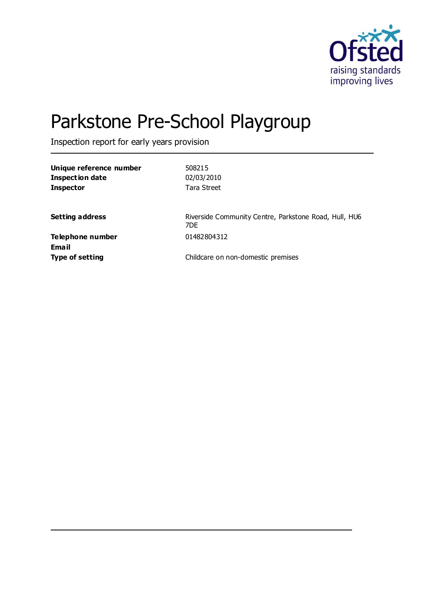

# Parkstone Pre-School Playgroup

Inspection report for early years provision

| Unique reference number | 508215                                                       |
|-------------------------|--------------------------------------------------------------|
| <b>Inspection date</b>  | 02/03/2010                                                   |
| <b>Inspector</b>        | Tara Street                                                  |
|                         |                                                              |
| <b>Setting address</b>  | Riverside Community Centre, Parkstone Road, Hull, HU6<br>7DF |
| Telephone number        | 01482804312                                                  |
| Email                   |                                                              |
| <b>Type of setting</b>  | Childcare on non-domestic premises                           |
|                         |                                                              |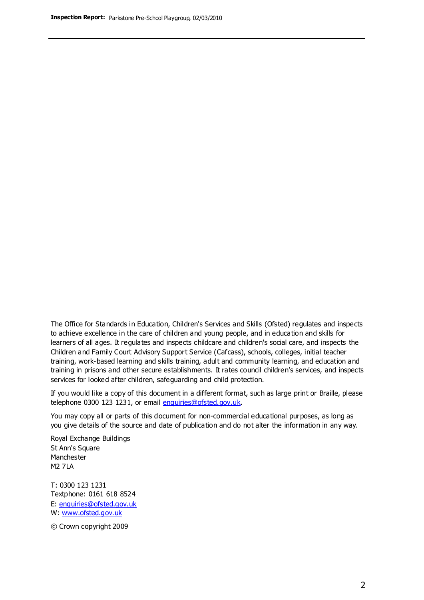The Office for Standards in Education, Children's Services and Skills (Ofsted) regulates and inspects to achieve excellence in the care of children and young people, and in education and skills for learners of all ages. It regulates and inspects childcare and children's social care, and inspects the Children and Family Court Advisory Support Service (Cafcass), schools, colleges, initial teacher training, work-based learning and skills training, adult and community learning, and education and training in prisons and other secure establishments. It rates council children's services, and inspects services for looked after children, safeguarding and child protection.

If you would like a copy of this document in a different format, such as large print or Braille, please telephone 0300 123 1231, or email enquiries@ofsted.gov.uk.

You may copy all or parts of this document for non-commercial educational purposes, as long as you give details of the source and date of publication and do not alter the information in any way.

Royal Exchange Buildings St Ann's Square Manchester M2 7LA

T: 0300 123 1231 Textphone: 0161 618 8524 E: enquiries@ofsted.gov.uk W: [www.ofsted.gov.uk](http://www.ofsted.gov.uk/)

© Crown copyright 2009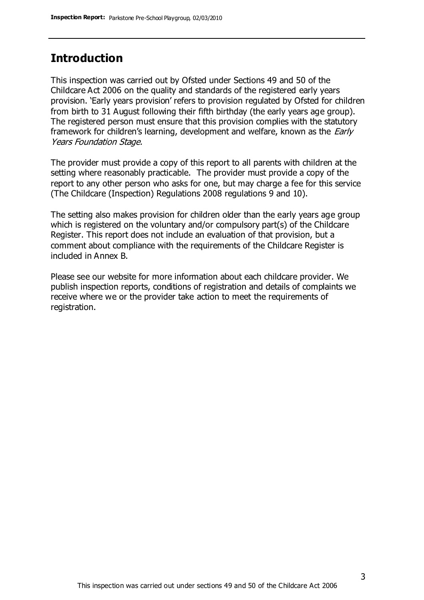#### **Introduction**

This inspection was carried out by Ofsted under Sections 49 and 50 of the Childcare Act 2006 on the quality and standards of the registered early years provision. 'Early years provision' refers to provision regulated by Ofsted for children from birth to 31 August following their fifth birthday (the early years age group). The registered person must ensure that this provision complies with the statutory framework for children's learning, development and welfare, known as the *Early* Years Foundation Stage.

The provider must provide a copy of this report to all parents with children at the setting where reasonably practicable. The provider must provide a copy of the report to any other person who asks for one, but may charge a fee for this service (The Childcare (Inspection) Regulations 2008 regulations 9 and 10).

The setting also makes provision for children older than the early years age group which is registered on the voluntary and/or compulsory part(s) of the Childcare Register. This report does not include an evaluation of that provision, but a comment about compliance with the requirements of the Childcare Register is included in Annex B.

Please see our website for more information about each childcare provider. We publish inspection reports, conditions of registration and details of complaints we receive where we or the provider take action to meet the requirements of registration.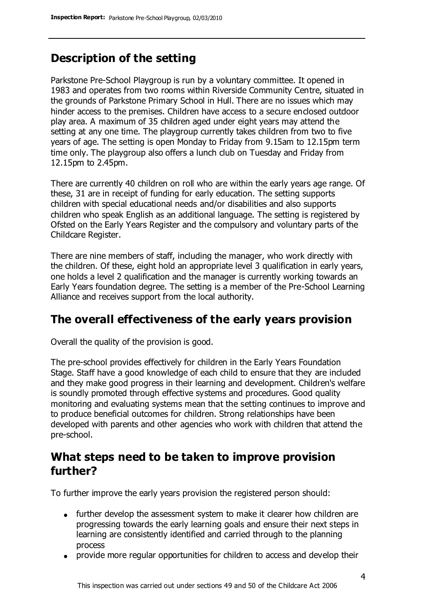### **Description of the setting**

Parkstone Pre-School Playgroup is run by a voluntary committee. It opened in 1983 and operates from two rooms within Riverside Community Centre, situated in the grounds of Parkstone Primary School in Hull. There are no issues which may hinder access to the premises. Children have access to a secure enclosed outdoor play area. A maximum of 35 children aged under eight years may attend the setting at any one time. The playgroup currently takes children from two to five years of age. The setting is open Monday to Friday from 9.15am to 12.15pm term time only. The playgroup also offers a lunch club on Tuesday and Friday from 12.15pm to 2.45pm.

There are currently 40 children on roll who are within the early years age range. Of these, 31 are in receipt of funding for early education. The setting supports children with special educational needs and/or disabilities and also supports children who speak English as an additional language. The setting is registered by Ofsted on the Early Years Register and the compulsory and voluntary parts of the Childcare Register.

There are nine members of staff, including the manager, who work directly with the children. Of these, eight hold an appropriate level 3 qualification in early years, one holds a level 2 qualification and the manager is currently working towards an Early Years foundation degree. The setting is a member of the Pre-School Learning Alliance and receives support from the local authority.

### **The overall effectiveness of the early years provision**

Overall the quality of the provision is good.

The pre-school provides effectively for children in the Early Years Foundation Stage. Staff have a good knowledge of each child to ensure that they are included and they make good progress in their learning and development. Children's welfare is soundly promoted through effective systems and procedures. Good quality monitoring and evaluating systems mean that the setting continues to improve and to produce beneficial outcomes for children. Strong relationships have been developed with parents and other agencies who work with children that attend the pre-school.

### **What steps need to be taken to improve provision further?**

To further improve the early years provision the registered person should:

- further develop the assessment system to make it clearer how children are progressing towards the early learning goals and ensure their next steps in learning are consistently identified and carried through to the planning process
- provide more regular opportunities for children to access and develop their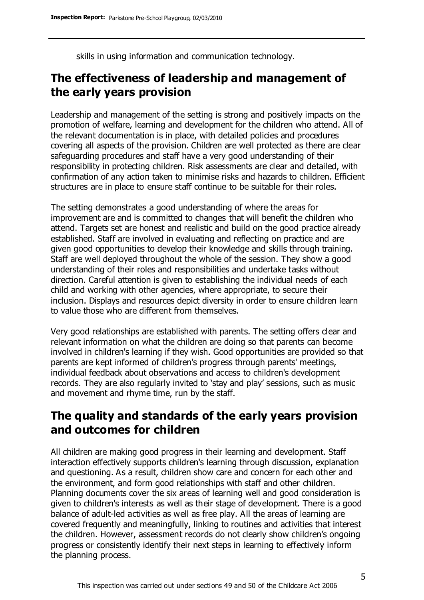skills in using information and communication technology.

### **The effectiveness of leadership and management of the early years provision**

Leadership and management of the setting is strong and positively impacts on the promotion of welfare, learning and development for the children who attend. All of the relevant documentation is in place, with detailed policies and procedures covering all aspects of the provision. Children are well protected as there are clear safeguarding procedures and staff have a very good understanding of their responsibility in protecting children. Risk assessments are clear and detailed, with confirmation of any action taken to minimise risks and hazards to children. Efficient structures are in place to ensure staff continue to be suitable for their roles.

The setting demonstrates a good understanding of where the areas for improvement are and is committed to changes that will benefit the children who attend. Targets set are honest and realistic and build on the good practice already established. Staff are involved in evaluating and reflecting on practice and are given good opportunities to develop their knowledge and skills through training. Staff are well deployed throughout the whole of the session. They show a good understanding of their roles and responsibilities and undertake tasks without direction. Careful attention is given to establishing the individual needs of each child and working with other agencies, where appropriate, to secure their inclusion. Displays and resources depict diversity in order to ensure children learn to value those who are different from themselves.

Very good relationships are established with parents. The setting offers clear and relevant information on what the children are doing so that parents can become involved in children's learning if they wish. Good opportunities are provided so that parents are kept informed of children's progress through parents' meetings, individual feedback about observations and access to children's development records. They are also regularly invited to 'stay and play' sessions, such as music and movement and rhyme time, run by the staff.

#### **The quality and standards of the early years provision and outcomes for children**

All children are making good progress in their learning and development. Staff interaction effectively supports children's learning through discussion, explanation and questioning. As a result, children show care and concern for each other and the environment, and form good relationships with staff and other children. Planning documents cover the six areas of learning well and good consideration is given to children's interests as well as their stage of development. There is a good balance of adult-led activities as well as free play. All the areas of learning are covered frequently and meaningfully, linking to routines and activities that interest the children. However, assessment records do not clearly show children's ongoing progress or consistently identify their next steps in learning to effectively inform the planning process.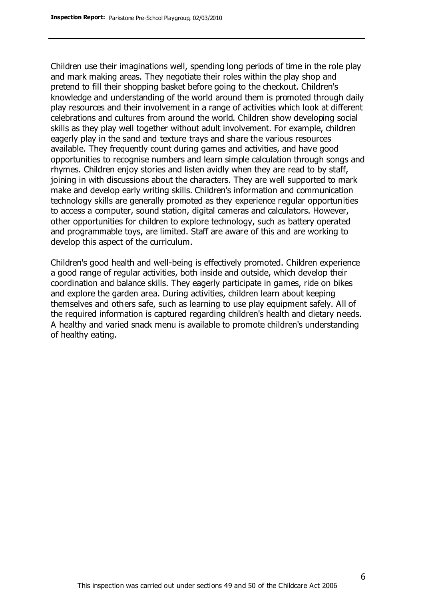Children use their imaginations well, spending long periods of time in the role play and mark making areas. They negotiate their roles within the play shop and pretend to fill their shopping basket before going to the checkout. Children's knowledge and understanding of the world around them is promoted through daily play resources and their involvement in a range of activities which look at different celebrations and cultures from around the world. Children show developing social skills as they play well together without adult involvement. For example, children eagerly play in the sand and texture trays and share the various resources available. They frequently count during games and activities, and have good opportunities to recognise numbers and learn simple calculation through songs and rhymes. Children enjoy stories and listen avidly when they are read to by staff, joining in with discussions about the characters. They are well supported to mark make and develop early writing skills. Children's information and communication technology skills are generally promoted as they experience regular opportunities to access a computer, sound station, digital cameras and calculators. However, other opportunities for children to explore technology, such as battery operated and programmable toys, are limited. Staff are aware of this and are working to develop this aspect of the curriculum.

Children's good health and well-being is effectively promoted. Children experience a good range of regular activities, both inside and outside, which develop their coordination and balance skills. They eagerly participate in games, ride on bikes and explore the garden area. During activities, children learn about keeping themselves and others safe, such as learning to use play equipment safely. All of the required information is captured regarding children's health and dietary needs. A healthy and varied snack menu is available to promote children's understanding of healthy eating.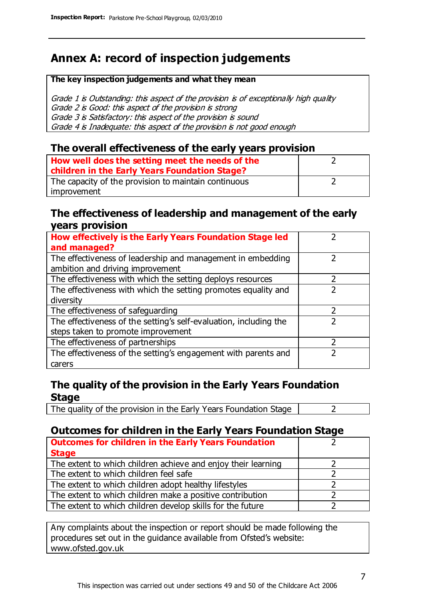### **Annex A: record of inspection judgements**

#### **The key inspection judgements and what they mean**

Grade 1 is Outstanding: this aspect of the provision is of exceptionally high quality Grade 2 is Good: this aspect of the provision is strong Grade 3 is Satisfactory: this aspect of the provision is sound Grade 4 is Inadequate: this aspect of the provision is not good enough

#### **The overall effectiveness of the early years provision**

| How well does the setting meet the needs of the      |  |
|------------------------------------------------------|--|
| children in the Early Years Foundation Stage?        |  |
| The capacity of the provision to maintain continuous |  |
| improvement                                          |  |

#### **The effectiveness of leadership and management of the early years provision**

| How effectively is the Early Years Foundation Stage led                                         |  |
|-------------------------------------------------------------------------------------------------|--|
| and managed?                                                                                    |  |
| The effectiveness of leadership and management in embedding<br>ambition and driving improvement |  |
| The effectiveness with which the setting deploys resources                                      |  |
| The effectiveness with which the setting promotes equality and                                  |  |
| diversity                                                                                       |  |
| The effectiveness of safeguarding                                                               |  |
| The effectiveness of the setting's self-evaluation, including the                               |  |
| steps taken to promote improvement                                                              |  |
| The effectiveness of partnerships                                                               |  |
| The effectiveness of the setting's engagement with parents and                                  |  |
| carers                                                                                          |  |

#### **The quality of the provision in the Early Years Foundation Stage**

The quality of the provision in the Early Years Foundation Stage  $\vert$  2

#### **Outcomes for children in the Early Years Foundation Stage**

| <b>Outcomes for children in the Early Years Foundation</b>    |  |
|---------------------------------------------------------------|--|
| <b>Stage</b>                                                  |  |
| The extent to which children achieve and enjoy their learning |  |
| The extent to which children feel safe                        |  |
| The extent to which children adopt healthy lifestyles         |  |
| The extent to which children make a positive contribution     |  |
| The extent to which children develop skills for the future    |  |

Any complaints about the inspection or report should be made following the procedures set out in the guidance available from Ofsted's website: www.ofsted.gov.uk